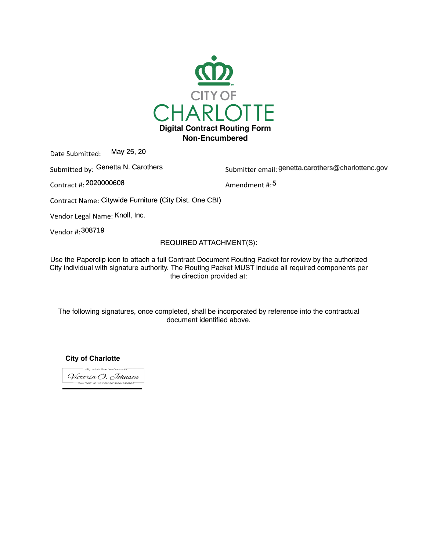

Date Submitted: May 25, 20

Submitted by: Genetta N. Carothers entity and the Submitter email: genetta.card

Contract #: Amendment #: 2020000608

Submitter email: genetta.carothers@charlottenc.gov

Amendment #: 5

Contract Name: Citywide Furniture (City Dist. One CBI)

Vendor Legal Name: Knoll, Inc.

Vendor #: 308719

# REQUIRED ATTACHMENT(S):

USC the Faperulip full to attach a full Udititate Ducument Hudthly Faunct for Feview by the authorized<br>City individual with cianoture outhority. The Douting Dooket MHCT include all required components nor City individual with signature authority. The Routing Packet MUST include all required components per<br>the direction provided at: Use the Paperclip icon to attach a full Contract Document Routing Packet for review by the authorized the direction provided at:

document identified above. The following signatures, once completed, shall be incorporated by reference into the contractual

**City of Charlotte**

eSigned via SeamlessDocs.com Victoria O. Johnson Key: f66f2b82106208b08604836a6d96b831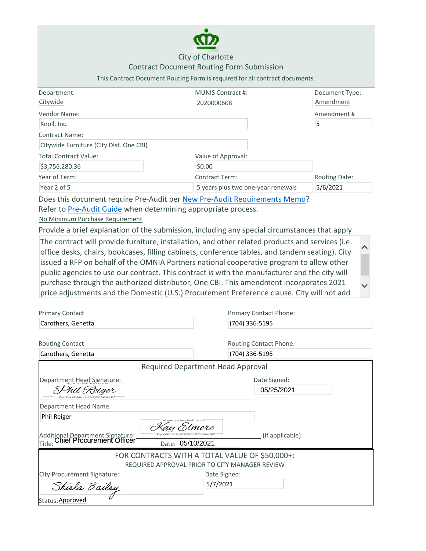

# City of Charlotte

### Contract Document Routing Form Submission

# This Contract Document Routing Form is required for all contract documents.

| Department:                             | <b>MUNIS Contract #:</b>           | Document Type:       |
|-----------------------------------------|------------------------------------|----------------------|
| Citywide                                | 2020000608                         | Amendment            |
| Vendor Name:                            |                                    | Amendment#           |
| Knoll, Inc.                             |                                    | 5                    |
| <b>Contract Name:</b>                   |                                    |                      |
| Citywide Furniture (City Dist. One CBI) |                                    |                      |
| <b>Total Contract Value:</b>            | Value of Approval:                 |                      |
| \$3,756,280.36                          | \$0.00                             |                      |
| Year of Term:                           | <b>Contract Term:</b>              | <b>Routing Date:</b> |
| Year 2 of 5                             | 5 years plus two one-year renewals | 5/6/2021             |
|                                         |                                    |                      |

Does this document require Pre-Audit per New Pre-Audit Requirements Memo? Refer to Pre-Audit Guide when determining appropriate process.

No Minimum Purchase Requirement

Provide a brief explanation of the submission, including any special circumstances that apply

| The contract will provide furniture, installation, and other related products and services (i.e. |                          |
|--------------------------------------------------------------------------------------------------|--------------------------|
| office desks, chairs, bookcases, filling cabinets, conference tables, and tandem seating). City  |                          |
| issued a RFP on behalf of the OMNIA Partners national cooperative program to allow other         |                          |
| public agencies to use our contract. This contract is with the manufacturer and the city will    |                          |
| purchase through the authorized distributor, One CBI. This amendment incorporates 2021           | $\overline{\phantom{a}}$ |
| price adjustments and the Domestic (U.S.) Procurement Preference clause. City will not add       |                          |

| <b>Primary Contact</b>                                               | Primary Contact Phone:                                 |
|----------------------------------------------------------------------|--------------------------------------------------------|
| Carothers, Genetta                                                   | (704) 336-5195                                         |
|                                                                      |                                                        |
| <b>Routing Contact</b>                                               | <b>Routing Contact Phone:</b>                          |
| Carothers, Genetta                                                   | (704) 336-5195                                         |
|                                                                      | Required Department Head Approval                      |
| Department Head Signature:                                           | Date Signed:                                           |
| <sup>n</sup> il <i>Re</i> iger                                       | 05/25/2021                                             |
| Department Head Name:                                                |                                                        |
| Phil Reiger                                                          | sSigned via SeamlessDocs.com                           |
|                                                                      | 5lmore                                                 |
| Additional Department Signature:<br>Titlo: Chief Procurement Officer | (if applicable)<br>Key-fc9e0b0a33c937a0d7c18b7a0b1ea90 |
| Title:                                                               | Date: 05/10/2021                                       |
|                                                                      | FOR CONTRACTS WITH A TOTAL VALUE OF \$50,000+:         |
|                                                                      | REQUIRED APPROVAL PRIOR TO CITY MANAGER REVIEW         |
| City Procurement Signature:                                          | Date Signed:                                           |
| Shirla Bailey                                                        | 5/7/2021                                               |
| Status: Approved                                                     |                                                        |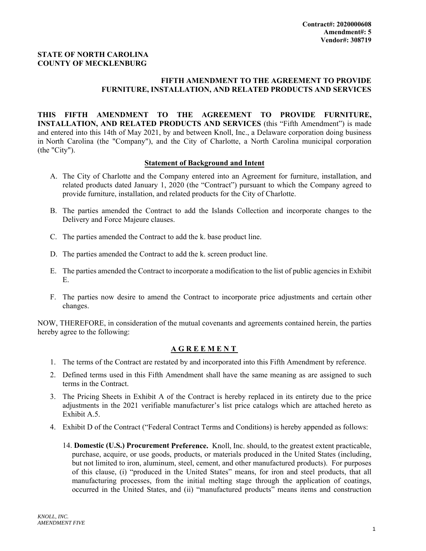# **STATE OF NORTH CAROLINA COUNTY OF MECKLENBURG**

# **FIFTH AMENDMENT TO THE AGREEMENT TO PROVIDE FURNITURE, INSTALLATION, AND RELATED PRODUCTS AND SERVICES**

**THIS FIFTH AMENDMENT TO THE AGREEMENT TO PROVIDE FURNITURE, INSTALLATION, AND RELATED PRODUCTS AND SERVICES** (this "Fifth Amendment") is made and entered into this 14th of May 2021, by and between Knoll, Inc., a Delaware corporation doing business in North Carolina (the "Company"), and the City of Charlotte, a North Carolina municipal corporation (the "City").

# **Statement of Background and Intent**

- A. The City of Charlotte and the Company entered into an Agreement for furniture, installation, and related products dated January 1, 2020 (the "Contract") pursuant to which the Company agreed to provide furniture, installation, and related products for the City of Charlotte.
- B. The parties amended the Contract to add the Islands Collection and incorporate changes to the Delivery and Force Majeure clauses.
- C. The parties amended the Contract to add the k. base product line.
- D. The parties amended the Contract to add the k. screen product line.
- E. The parties amended the Contract to incorporate a modification to the list of public agencies in Exhibit E.
- F. The parties now desire to amend the Contract to incorporate price adjustments and certain other changes.

NOW, THEREFORE, in consideration of the mutual covenants and agreements contained herein, the parties hereby agree to the following:

### **AGREEMENT**

- 1. The terms of the Contract are restated by and incorporated into this Fifth Amendment by reference.
- 2. Defined terms used in this Fifth Amendment shall have the same meaning as are assigned to such terms in the Contract.
- 3. The Pricing Sheets in Exhibit A of the Contract is hereby replaced in its entirety due to the price adjustments in the 2021 verifiable manufacturer's list price catalogs which are attached hereto as Exhibit A.5.
- 4. Exhibit D of the Contract ("Federal Contract Terms and Conditions) is hereby appended as follows:
	- 14. **Domestic (U.S.) Procurement Preference.** Knoll, Inc. should, to the greatest extent practicable, purchase, acquire, or use goods, products, or materials produced in the United States (including, but not limited to iron, aluminum, steel, cement, and other manufactured products). For purposes of this clause, (i) "produced in the United States" means, for iron and steel products, that all manufacturing processes, from the initial melting stage through the application of coatings, occurred in the United States, and (ii) "manufactured products" means items and construction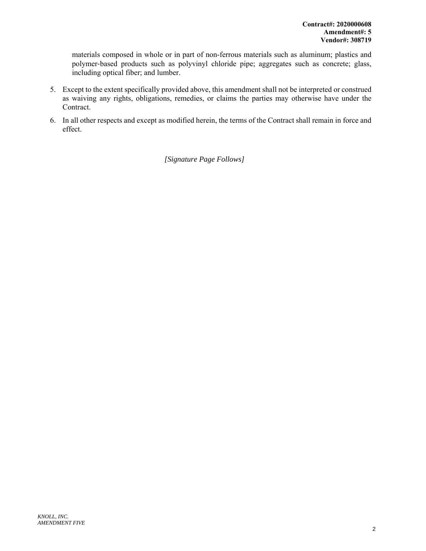materials composed in whole or in part of non‐ferrous materials such as aluminum; plastics and polymer-based products such as polyvinyl chloride pipe; aggregates such as concrete; glass, including optical fiber; and lumber.

- 5. Except to the extent specifically provided above, this amendment shall not be interpreted or construed as waiving any rights, obligations, remedies, or claims the parties may otherwise have under the Contract.
- 6. In all other respects and except as modified herein, the terms of the Contract shall remain in force and effect.

*[Signature Page Follows]*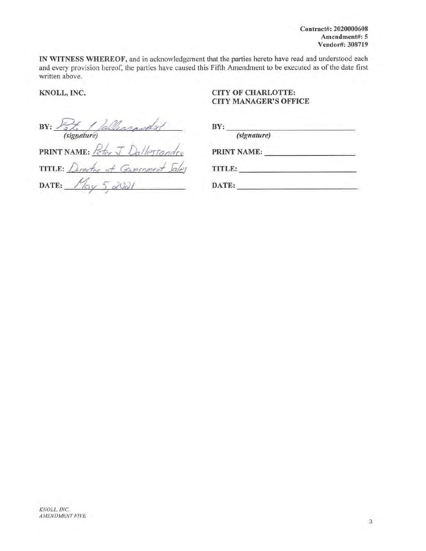Contract#: 2020000608 Amendment#: 5 Vendor#: 308719

IN WITNESS WHEREOF, and in acknowledgement that the parties hereto have read and understood each and every provision hereof, the parties have caused this Fifth Amendment to be executed as of the date first written above.

# KNOLL, INC.

# **CITY OF CHARLOTTE: CITY MANAGER'S OFFICE**

BY: Vite / fallenmanded *(signature)* 

 $BY:$ (signature) PRINT NAME:

(signature)<br>PRINT NAME: Peter J Dallestandro TITLE: Director of Gavernment Jales DATE:  $M_{\alpha y}$  5, 2021

| TITLE: |  |
|--------|--|
|        |  |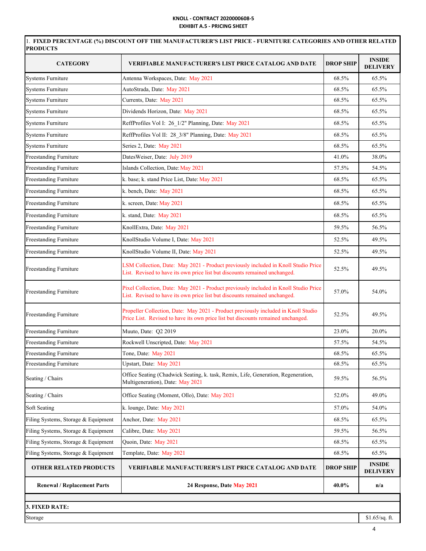### **KNOLL ‐ CONTRACT 2020000608‐5 EXHIBIT A.5 ‐ PRICING SHEET**

| <b>CATEGORY</b>                     | <b>VERIFIABLE MANUFACTURER'S LIST PRICE CATALOG AND DATE</b>                                                                                                           | <b>DROP SHIP</b> | <b>INSIDE</b><br><b>DELIVERY</b> |
|-------------------------------------|------------------------------------------------------------------------------------------------------------------------------------------------------------------------|------------------|----------------------------------|
| <b>Systems Furniture</b>            | Antenna Workspaces, Date: May 2021                                                                                                                                     | 68.5%            | 65.5%                            |
| <b>Systems Furniture</b>            | AutoStrada, Date: May 2021                                                                                                                                             | 68.5%            | 65.5%                            |
| <b>Systems Furniture</b>            | Currents, Date: May 2021                                                                                                                                               | 68.5%            | 65.5%                            |
| <b>Systems Furniture</b>            | Dividends Horizon, Date: May 2021                                                                                                                                      | 68.5%            | 65.5%                            |
| <b>Systems Furniture</b>            | ReffProfiles Vol I: 26_1/2" Planning, Date: May 2021                                                                                                                   | 68.5%            | 65.5%                            |
| <b>Systems Furniture</b>            | ReffProfiles Vol II: 28_3/8" Planning, Date: May 2021                                                                                                                  | 68.5%            | 65.5%                            |
| <b>Systems Furniture</b>            | Series 2, Date: May 2021                                                                                                                                               | 68.5%            | 65.5%                            |
| Freestanding Furniture              | DatesWeiser, Date: July 2019                                                                                                                                           | 41.0%            | 38.0%                            |
| Freestanding Furniture              | Islands Collection, Date: May 2021                                                                                                                                     | 57.5%            | 54.5%                            |
| Freestanding Furniture              | k. base; k. stand Price List, Date: May 2021                                                                                                                           | 68.5%            | 65.5%                            |
| Freestanding Furniture              | k. bench, Date: May 2021                                                                                                                                               | 68.5%            | 65.5%                            |
| Freestanding Furniture              | k. screen, Date: May 2021                                                                                                                                              | 68.5%            | 65.5%                            |
| Freestanding Furniture              | k. stand, Date: May 2021                                                                                                                                               | 68.5%            | 65.5%                            |
| Freestanding Furniture              | KnollExtra, Date: May 2021                                                                                                                                             | 59.5%            | 56.5%                            |
| Freestanding Furniture              | KnollStudio Volume I, Date: May 2021                                                                                                                                   | 52.5%            | 49.5%                            |
| Freestanding Furniture              | KnollStudio Volume II, Date: May 2021                                                                                                                                  | 52.5%            | 49.5%                            |
| Freestanding Furniture              | LSM Collection, Date: May 2021 - Product previously included in Knoll Studio Price<br>List. Revised to have its own price list but discounts remained unchanged.       | 52.5%            | 49.5%                            |
| <b>Freestanding Furniture</b>       | Pixel Collection, Date: May 2021 - Product previously included in Knoll Studio Price<br>List. Revised to have its own price list but discounts remained unchanged.     | 57.0%            | 54.0%                            |
| <b>Freestanding Furniture</b>       | Propeller Collection, Date: May 2021 - Product previously included in Knoll Studio<br>Price List. Revised to have its own price list but discounts remained unchanged. | 52.5%            | 49.5%                            |
| Freestanding Furniture              | Muuto, Date: Q2 2019                                                                                                                                                   | 23.0%            | 20.0%                            |
| <b>Freestanding Furniture</b>       | Rockwell Unscripted, Date: May 2021                                                                                                                                    | 57.5%            | 54.5%                            |
| Freestanding Furniture              | Tone, Date: May 2021                                                                                                                                                   | 68.5%            | 65.5%                            |
| <b>Freestanding Furniture</b>       | Upstart, Date: May 2021                                                                                                                                                | 68.5%            | 65.5%                            |
| Seating / Chairs                    | Office Seating (Chadwick Seating, k. task, Remix, Life, Generation, Regeneration,<br>Multigeneration), Date: May 2021                                                  | 59.5%            | 56.5%                            |
| Seating / Chairs                    | Office Seating (Moment, Ollo), Date: May 2021                                                                                                                          | 52.0%            | 49.0%                            |
| Soft Seating                        | k. lounge, Date: May 2021                                                                                                                                              | 57.0%            | 54.0%                            |
| Filing Systems, Storage & Equipment | Anchor, Date: May 2021                                                                                                                                                 | 68.5%            | 65.5%                            |
| Filing Systems, Storage & Equipment | Calibre, Date: May 2021                                                                                                                                                | 59.5%            | 56.5%                            |
| Filing Systems, Storage & Equipment | Quoin, Date: May 2021                                                                                                                                                  | 68.5%            | 65.5%                            |
| Filing Systems, Storage & Equipment | Template, Date: May 2021                                                                                                                                               | 68.5%            | 65.5%                            |
| <b>OTHER RELATED PRODUCTS</b>       | <b>VERIFIABLE MANUFACTURER'S LIST PRICE CATALOG AND DATE</b>                                                                                                           | <b>DROP SHIP</b> | <b>INSIDE</b><br><b>DELIVERY</b> |
| <b>Renewal / Replacement Parts</b>  | 24 Response, Date May 2021                                                                                                                                             | 40.0%            | n/a                              |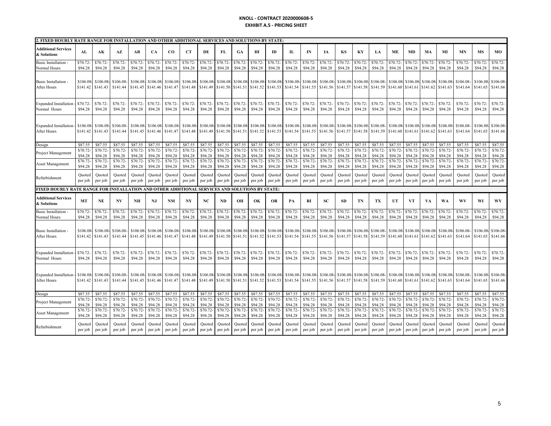#### **KNOLL ‐ CONTRACT 2020000608‐5EXHIBIT A.5 ‐ PRICING SHEET**

| 2. FIXED HOURLY RATE RANGE FOR INSTALLATION AND OTHER ADDITIONAL SERVICES AND SOLUTIONS BY STATE: |                      |                      |                        |                               |                      |                       |                      |                       |                               |                      |                       |                      |                               |                      |                      |                      |                               |                               |                      |                               |                      |                      |                      |                                |                      |
|---------------------------------------------------------------------------------------------------|----------------------|----------------------|------------------------|-------------------------------|----------------------|-----------------------|----------------------|-----------------------|-------------------------------|----------------------|-----------------------|----------------------|-------------------------------|----------------------|----------------------|----------------------|-------------------------------|-------------------------------|----------------------|-------------------------------|----------------------|----------------------|----------------------|--------------------------------|----------------------|
| <b>Additional Services</b><br>& Solutions                                                         | AL                   | AК                   | AZ                     | AR                            | <b>CA</b>            | $_{\rm CO}$           | <b>CT</b>            | DE                    | FL                            | <b>GA</b>            | HI                    | ID                   | П                             | IN                   | IA                   | KS                   | KY                            | LA                            | ME                   | MD                            | MA                   | MI                   | MN                   | <b>MS</b>                      | MO                   |
| Basic Installation                                                                                | \$70.72              | \$70.72              | \$70.72-               | \$70.72-                      | \$70.72              | \$70.72               | \$70.72-             | \$70.72               | \$70.72                       | \$70.72              | \$70.72               | \$70.72-             | \$70.72                       | \$70.72              | \$70.72              | \$70.72              | \$70.72                       | \$70.72-                      | \$70.72              | \$70.72                       | \$70.72              | \$70.72-             | \$70.72-             | \$70.72                        | \$70.72-             |
| Normal Hours                                                                                      | \$94.28              | \$94.28              | \$94.28                | \$94.28                       | \$94.28              | \$94.28               | \$94.28              | \$94.28               | \$94.28                       | \$94.28              | \$94.28               | \$94.28              | \$94.28                       | \$94.28              | \$94.28              | \$94.28              | \$94.28                       | \$94.28                       | \$94.28              | \$94.28                       | \$94.28              | \$94.28              | \$94.28              | \$94.28                        | \$94.28              |
| <b>Basic Installation</b><br>After Hours                                                          | \$106.08<br>\$141.42 | \$106.08<br>\$141.43 | \$106.08<br>\$141.44   | \$106.08-\$106.08<br>\$141.45 | \$141.46             | \$106.08-<br>\$141.47 | \$106.08<br>\$141.48 | \$106.08-<br>\$141.49 | \$106.08<br>\$141.50          | \$106.08<br>\$141.51 | \$106.08-<br>\$141.52 | \$106.08<br>\$141.53 | \$106.08<br>\$141.54          | \$106.08<br>\$141.55 | \$106.08<br>\$141.56 | \$106.08<br>\$141.57 | \$141.58                      | \$106.08 \$106.08<br>\$141.59 | \$106.08<br>\$141.60 | \$106.08<br>\$141.61          | \$106.08<br>\$141.62 | \$106.08<br>\$141.63 | \$106.08<br>\$141.64 | \$106.08-\$106.08-<br>\$141.65 | \$141.66             |
| <b>Expanded Installation</b>                                                                      | \$70.72-             | \$70.72              | \$70.72-               | \$70.72                       | \$70.72              | \$70.72               | \$70.72-             | \$70.72               | \$70.72-                      | \$70.72              | \$70.72               | \$70.72-             | \$70.72                       | \$70.72              | \$70.72-             | \$70.72-             | \$70.72                       | \$70.72-                      | \$70.72-             | \$70.72-                      | \$70.72              | \$70.72              | \$70.72-             | \$70.72-                       | \$70.72-             |
| Normal Hours                                                                                      | \$94.28              | \$94.28              | \$94.28                | \$94.28                       | \$94.28              | \$94.28               | \$94.28              | \$94.28               | \$94.28                       | \$94.28              | \$94.28               | \$94.28              | \$94.28                       | \$94.28              | \$94.28              | \$94.28              | \$94.28                       | \$94.28                       | \$94.28              | \$94.28                       | \$94.28              | \$94.28              | \$94.28              | \$94.28                        | \$94.28              |
| Expanded Installation<br>After Hours                                                              | \$106.08<br>\$141.42 | \$106.0<br>\$141.43  | \$106.08<br>\$141.44   | \$106.08<br>\$141.45          | \$106.08<br>\$141.46 | \$106.08<br>\$141.47  | \$106.08<br>\$141.48 | \$106.08<br>\$141.49  | \$106.08<br>\$141.50 \$141.51 | \$106.0              | \$106.08<br>\$141.52  | \$106.08<br>\$141.53 | \$106.08<br>\$141.54 \$141.55 | \$106.08             | \$106.08<br>\$141.56 | \$106.08<br>\$141.57 | \$106.08<br>\$141.58          | \$106.08<br>\$141.59          | \$106.08<br>\$141.60 | \$106.08<br>\$141.61          | \$106.08<br>\$141.62 | \$106.08<br>\$141.63 | \$106.08<br>\$141.64 | \$106.08<br>\$141.65           | \$106.08<br>\$141.66 |
| Design                                                                                            | \$87.55              | \$87.55              | \$87.55                | \$87.55                       | \$87.55              | \$87.55               | \$87.55              | \$87.55               | \$87.55                       | \$87.55              | \$87.55               | \$87.55              | \$87.55                       | \$87.55              | \$87.55              | \$87.55              | \$87.55                       | \$87.55                       | \$87.55              | \$87.55                       | \$87.55              | \$87.55              | \$87.55              | \$87.55                        | \$87.55              |
| Project Management                                                                                | \$70.72-             | \$70.72              | \$70.72-               | \$70.72-                      | \$70.72-             | \$70.72               | \$70.72              | \$70.72               | \$70.72-                      | \$70.72              | \$70.72               | \$70.72-             | \$70.72                       | \$70.72-             | \$70.72              | \$70.72-             | \$70.72                       | \$70.72                       | \$70.72              | \$70.72                       | \$70.72              | \$70.72-             | \$70.72-             | \$70.72                        | \$70.72              |
|                                                                                                   | \$94.28              | \$94.28              | \$94.28                | \$94.28                       | \$94.28              | \$94.28               | \$94.28              | \$94.28               | \$94.28                       | \$94.28              | \$94.28               | \$94.28              | \$94.28                       | \$94.28              | \$94.28              | \$94.28              | \$94.28                       | \$94.28                       | \$94.28              | \$94.28                       | \$94.28              | \$94.28              | \$94.28              | \$94.28                        | \$94.28              |
| Asset Management                                                                                  | \$70.72-             | \$70.72              | \$70.72-               | \$70.72-                      | \$70.72-             | \$70.72               | \$70.72-             | \$70.72               | \$70.72-                      | \$70.72-             | \$70.72               | \$70.72-             | \$70.72                       | \$70.72-             | \$70.72              | \$70.72-             | \$70.72                       | \$70.72                       | \$70.72-             | \$70.72-                      | \$70.72              | \$70.72-             | \$70.72-             | \$70.72                        | \$70.72              |
|                                                                                                   | \$94.28              | \$94.28              | \$94.28                | \$94.28                       | \$94.28              | \$94.28               | \$94.28              | \$94.28               | \$94.28                       | \$94.28              | \$94.28               | \$94.28              | \$94.28                       | \$94.28              | \$94.28              | \$94.28              | \$94.28                       | \$94.28                       | \$94.28              | \$94.28                       | \$94.28              | \$94.28              | \$94.28              | \$94.28                        | \$94.28              |
| Refurbishment                                                                                     | Quoted               | Quoted               | Quoted                 | Quoted                        | Quoted               | Quoted                | Ouoted               | Quoted                | Quoted                        | Quoted               | Quoted                | Ouoted               | Quoted                        | Quoted               | Quoted               | Ouoted               | Quoted                        | Quoted                        | Quoted               | Quoted                        | Quoted               | Quoted               | Quoted               | Ouoted                         | Quoted               |
|                                                                                                   | per job              | per job              | per job                | per job                       | per job              | per job               | per job              | per job               | per job                       | per job              | per job               | per job              | per job                       | per job              | per job              | per job              | per job                       | per job                       | per job              | per job                       | per job              | per job              | per job              | per job                        | per job              |
|                                                                                                   |                      |                      |                        |                               |                      |                       |                      |                       |                               |                      |                       |                      |                               |                      |                      |                      |                               |                               |                      |                               |                      |                      |                      |                                |                      |
| FIXED HOURLY RATE RANGE FOR INSTALLATION AND OTHER ADDITIONAL SERVICES AND SOLUTIONS BY STATE:    |                      |                      |                        |                               |                      |                       |                      |                       |                               |                      |                       |                      |                               |                      |                      |                      |                               |                               |                      |                               |                      |                      |                      |                                |                      |
| Additional Services<br>& Solutions                                                                | MT                   | <b>NE</b>            | $\mathbf{N}\mathbf{V}$ | NH                            | NJ                   | <b>NM</b>             | N <sub>Y</sub>       | NC                    | <b>ND</b>                     | OН                   | OK                    | <b>OR</b>            | PA                            | <b>RI</b>            | <b>SC</b>            | <b>SD</b>            | TN                            | TX                            | UT                   | <b>VT</b>                     | VA                   | WA                   | WV                   | WI                             | <b>WY</b>            |
| <b>Basic Installation</b>                                                                         | \$70.72              | \$70.72              | \$70.72-               | \$70.72                       | \$70.72-             | \$70.72               | \$70.72              | \$70.72               | \$70.72-                      | \$70.72              | \$70.72               | $$70.72-$            | \$70.72                       | \$70.72              | \$70.72              | \$70.72-             | \$70.72                       | \$70.72-                      | \$70.72-             | \$70.72                       | \$70.72              | \$70.72-             | \$70.72-             | \$70.72                        | \$70.72-             |
| Normal Hours                                                                                      | \$94.28              | \$94.28              | \$94.28                | \$94.28                       | \$94.28              | \$94.28               | \$94.28              | \$94.28               | \$94.28                       | \$94.28              | \$94.28               | \$94.28              | \$94.28                       | \$94.28              | \$94.28              | \$94.28              | \$94.28                       | \$94.28                       | \$94.28              | \$94.28                       | \$94.28              | \$94.28              | \$94.28              | \$94.28                        | \$94.28              |
| <b>Basic Installation</b><br>After Hours                                                          | \$106.08<br>\$141.42 | \$106.08<br>\$141.43 | \$106.08<br>\$141.44   | \$106.08<br>\$141.45          | \$106.08<br>\$141.46 | \$106.08<br>\$141.47  | \$106.08<br>\$141.48 | \$106.08<br>\$141.49  | \$106.08<br>\$141.50          | \$106.08<br>\$141.51 | \$106.08<br>\$141.52  | \$106.08<br>\$141.53 | \$106.08<br>\$141.54 \$141.55 | \$106.08             | \$106.08<br>\$141.56 | \$106.08<br>\$141.57 | \$106.08 \$106.08<br>\$141.58 | \$141.59                      | \$106.08<br>\$141.60 | \$106.08 \$106.08<br>\$141.61 | \$141.62             | \$106.08<br>\$141.63 | \$106.08<br>\$141.64 | \$106.08<br>\$141.65           | \$106.08<br>\$141.66 |
| <b>Expanded Installation</b>                                                                      | \$70.72-             | \$70.72              | \$70.72-               | \$70.72-                      | \$70.72              | \$70.72               | \$70.72-             | \$70.72               | \$70.72-                      | \$70.72-             | \$70.72               | \$70.72-             | \$70.72                       | \$70.72              | \$70.72-             | \$70.72-             | \$70.72                       | \$70.72-                      | \$70.72-             | \$70.72-                      | \$70.72-             | \$70.72-             | \$70.72-             | \$70.72-                       | \$70.72-             |
| Normal Hours                                                                                      | \$94.28              | \$94.28              | \$94.28                | \$94.28                       | \$94.28              | \$94.28               | \$94.28              | \$94.28               | \$94.28                       | \$94.28              | \$94.28               | \$94.28              | \$94.28                       | \$94.28              | \$94.28              | \$94.28              | \$94.28                       | \$94.28                       | \$94.28              | \$94.28                       | \$94.28              | \$94.28              | \$94.28              | \$94.28                        | \$94.28              |
| <b>Expanded Installation</b>                                                                      | \$106.08             | \$106.08             | \$106.08               | \$106.08                      | \$106.08             | \$106.08              | \$106.08             | \$106.08              | \$106.08                      | \$106.08             | \$106.08              | \$106.08             | \$106.08                      | \$106.08             | \$106.08             | \$106.08             | \$106.08                      | \$106.08                      | \$106.08             | \$106.08                      | \$106.08             | \$106.08             | \$106.08             | \$106.08                       | \$106.08             |
| After Hours                                                                                       | \$141.42             | \$141.43             | \$141.44               | \$141.45                      | \$141.46             | \$141.47              | \$141.48             | \$141.49              | \$141.50                      | \$141.51             | \$141.52              | \$141.53             | \$141.54                      | \$141.55             | \$141.56             | \$141.57             | \$141.58                      | \$141.59                      | \$141.60             | \$141.61                      | \$141.62             | \$141.63             | \$141.64             | \$141.65                       | \$141.66             |
| Design                                                                                            | \$87.55              | \$87.55              | \$87.55                | \$87.55                       | \$87.55              | \$87.55               | \$87.55              | \$87.55               | \$87.55                       | \$87.55              | \$87.55               | \$87.55              | \$87.55                       | \$87.55              | \$87.55              | \$87.55              | \$87.55                       | \$87.55                       | \$87.55              | \$87.55                       | \$87.55              | \$87.55              | \$87.55              | \$87.55                        | \$87.55              |
| Project Management                                                                                | \$70.72-             | \$70.72              | \$70.72                | \$70.72-                      | \$70.72-             | \$70.72               | \$70.72-             | \$70.72               | \$70.72-                      | \$70.72              | \$70.72               | \$70.72-             | \$70.72                       | \$70.72              | \$70.72              | \$70.72-             | \$70.72                       | \$70.72                       | \$70.72              | \$70.72                       | \$70.72              | \$70.72-             | \$70.72-             | \$70.72                        | \$70.72-             |
|                                                                                                   | \$94.28              | \$94.28              | \$94.28                | \$94.28                       | \$94.28              | \$94.28               | \$94.28              | \$94.28               | \$94.28                       | \$94.28              | \$94.28               | \$94.28              | \$94.28                       | \$94.28              | \$94.28              | \$94.28              | \$94.28                       | \$94.28                       | \$94.28              | \$94.28                       | \$94.28              | \$94.28              | \$94.28              | \$94.28                        | \$94.28              |
| Asset Management                                                                                  | \$70.72-             | \$70.72              | \$70.72                | \$70.72-                      | \$70.72              | \$70.72               | \$70.72              | \$70.72               | \$70.72-                      | \$70.72              | \$70.72               | \$70.72-             | \$70.72                       | \$70.72              | \$70.72              | \$70.72-             | \$70.72                       | \$70.72                       | \$70.72              | \$70.72                       | \$70.72              | \$70.72-             | \$70.72-             | \$70.72                        | \$70.72-             |
|                                                                                                   | \$94.28              | \$94.28              | \$94.28                | \$94.28                       | \$94.28              | \$94.28               | \$94.28              | \$94.28               | \$94.28                       | \$94.28              | \$94.28               | \$94.28              | \$94.28                       | \$94.28              | \$94.28              | \$94.28              | \$94.28                       | \$94.28                       | \$94.28              | \$94.28                       | \$94.28              | \$94.28              | \$94.28              | \$94.28                        | \$94.28              |